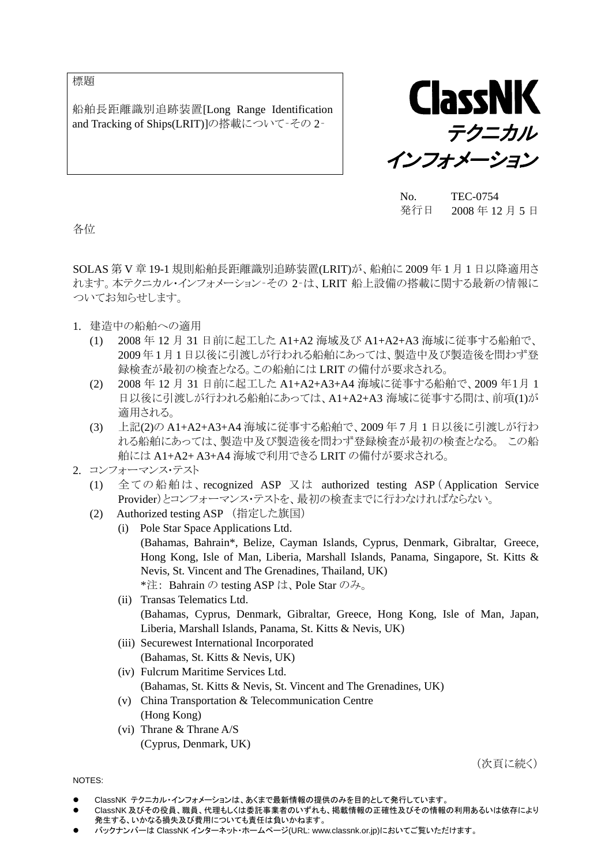標題

船舶長距離識別追跡装置[Long Range Identification and Tracking of Ships(LRIT)]の搭載について - その 2-



No. TEC-0754 発行日 2008 年 12 月 5 日

各位

SOLAS 第 V 章 19-1 規則船舶長距離識別追跡装置(LRIT)が、船舶に 2009 年 1 月 1 日以降適用さ れます。本テクニカル・インフォメーション‐その 2‐は、LRIT 船上設備の搭載に関する最新の情報に ついてお知らせします。

- 1. 建造中の船舶への適用
	- (1) 2008 年 12 月 31 日前に起工した A1+A2 海域及び A1+A2+A3 海域に従事する船舶で、 2009年1月1日以後に引渡しが行われる船舶にあっては、製造中及び製造後を問わず登 録検査が最初の検査となる。この船舶には LRIT の備付が要求される。
	- (2) 2008 年 12 月 31 日前に起工した A1+A2+A3+A4 海域に従事する船舶で、2009 年1月 1 日以後に引渡しが行われる船舶にあっては、A1+A2+A3 海域に従事する間は、前項(1)が 適用される。
	- (3) 上記(2)の A1+A2+A3+A4 海域に従事する船舶で、2009 年 7 月 1 日以後に引渡しが行わ れる船舶にあっては、製造中及び製造後を問わず登録検査が最初の検査となる。 この船 舶には A1+A2+ A3+A4 海域で利用できる LRIT の備付が要求される。
- 2. コンフォーマンス・テスト
	- (1) 全ての船舶は、recognized ASP 又 は authorized testing ASP ( Application Service Provider)とコンフォーマンス・テストを、最初の検査までに行わなければならない。
	- (2) Authorized testing ASP (指定した旗国)
		- (i) Pole Star Space Applications Ltd. (Bahamas, Bahrain\*, Belize, Cayman Islands, Cyprus, Denmark, Gibraltar, Greece, Hong Kong, Isle of Man, Liberia, Marshall Islands, Panama, Singapore, St. Kitts & Nevis, St. Vincent and The Grenadines, Thailand, UK) \*注: Bahrain の testing ASP は、Pole Star のみ。
		- (ii) Transas Telematics Ltd. (Bahamas, Cyprus, Denmark, Gibraltar, Greece, Hong Kong, Isle of Man, Japan, Liberia, Marshall Islands, Panama, St. Kitts & Nevis, UK)
		- (iii) Securewest International Incorporated (Bahamas, St. Kitts & Nevis, UK)
		- (iv) Fulcrum Maritime Services Ltd. (Bahamas, St. Kitts & Nevis, St. Vincent and The Grenadines, UK)
		- (v) China Transportation & Telecommunication Centre (Hong Kong)
		- (vi) Thrane & Thrane A/S (Cyprus, Denmark, UK)

(次頁に続く)

NOTES:

- ClassNK テクニカル・インフォメーションは、あくまで最新情報の提供のみを目的として発行しています。
- ClassNK 及びその役員、職員、代理もしくは委託事業者のいずれも、掲載情報の正確性及びその情報の利用あるいは依存により 発生する、いかなる損失及び費用についても責任は負いかねます。
- バックナンバーは ClassNK インターネット・ホームページ(URL: www.classnk.or.jp)においてご覧いただけます。